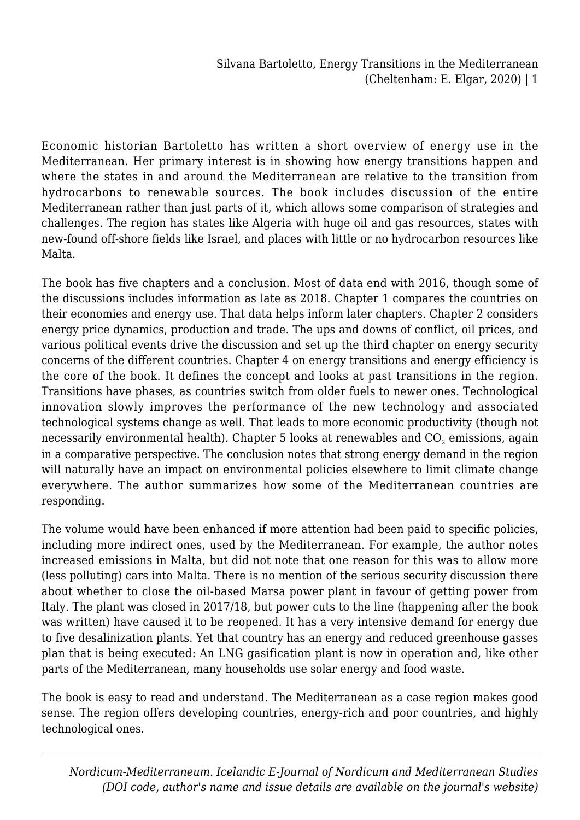Economic historian Bartoletto has written a short overview of energy use in the Mediterranean. Her primary interest is in showing how energy transitions happen and where the states in and around the Mediterranean are relative to the transition from hydrocarbons to renewable sources. The book includes discussion of the entire Mediterranean rather than just parts of it, which allows some comparison of strategies and challenges. The region has states like Algeria with huge oil and gas resources, states with new-found off-shore fields like Israel, and places with little or no hydrocarbon resources like Malta.

The book has five chapters and a conclusion. Most of data end with 2016, though some of the discussions includes information as late as 2018. Chapter 1 compares the countries on their economies and energy use. That data helps inform later chapters. Chapter 2 considers energy price dynamics, production and trade. The ups and downs of conflict, oil prices, and various political events drive the discussion and set up the third chapter on energy security concerns of the different countries. Chapter 4 on energy transitions and energy efficiency is the core of the book. It defines the concept and looks at past transitions in the region. Transitions have phases, as countries switch from older fuels to newer ones. Technological innovation slowly improves the performance of the new technology and associated technological systems change as well. That leads to more economic productivity (though not necessarily environmental health). Chapter 5 looks at renewables and CO $_{\text{2}}$  emissions, again in a comparative perspective. The conclusion notes that strong energy demand in the region will naturally have an impact on environmental policies elsewhere to limit climate change everywhere. The author summarizes how some of the Mediterranean countries are responding.

The volume would have been enhanced if more attention had been paid to specific policies, including more indirect ones, used by the Mediterranean. For example, the author notes increased emissions in Malta, but did not note that one reason for this was to allow more (less polluting) cars into Malta. There is no mention of the serious security discussion there about whether to close the oil-based Marsa power plant in favour of getting power from Italy. The plant was closed in 2017/18, but power cuts to the line (happening after the book was written) have caused it to be reopened. It has a very intensive demand for energy due to five desalinization plants. Yet that country has an energy and reduced greenhouse gasses plan that is being executed: An LNG gasification plant is now in operation and, like other parts of the Mediterranean, many households use solar energy and food waste.

The book is easy to read and understand. The Mediterranean as a case region makes good sense. The region offers developing countries, energy-rich and poor countries, and highly technological ones.

*Nordicum-Mediterraneum. Icelandic E-Journal of Nordicum and Mediterranean Studies (DOI code, author's name and issue details are available on the journal's website)*